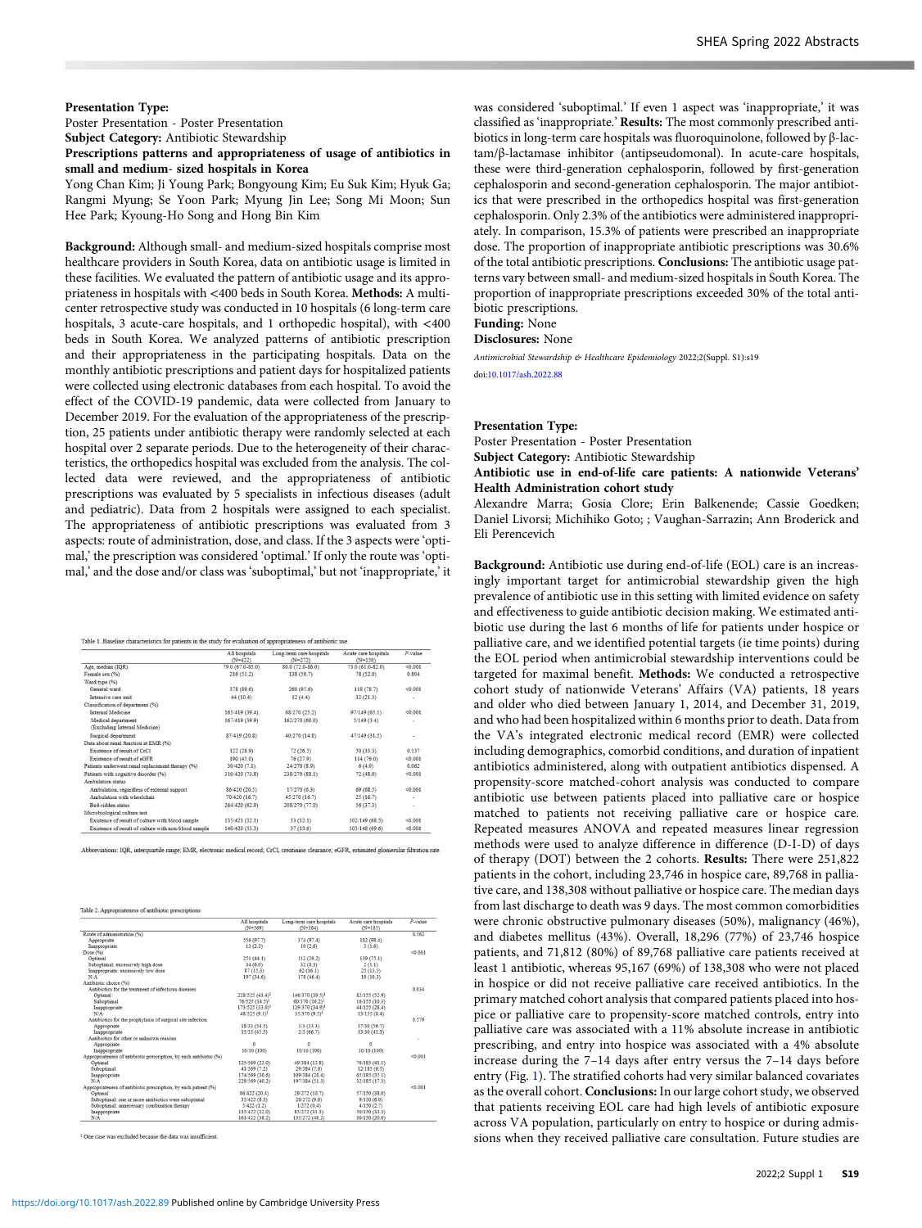### Presentation Type:

Poster Presentation - Poster Presentation Subject Category: Antibiotic Stewardship

# Prescriptions patterns and appropriateness of usage of antibiotics in small and medium- sized hospitals in Korea

Yong Chan Kim; Ji Young Park; Bongyoung Kim; Eu Suk Kim; Hyuk Ga; Rangmi Myung; Se Yoon Park; Myung Jin Lee; Song Mi Moon; Sun Hee Park; Kyoung-Ho Song and Hong Bin Kim

Background: Although small- and medium-sized hospitals comprise most healthcare providers in South Korea, data on antibiotic usage is limited in these facilities. We evaluated the pattern of antibiotic usage and its appropriateness in hospitals with <400 beds in South Korea. Methods: A multicenter retrospective study was conducted in 10 hospitals (6 long-term care hospitals, 3 acute-care hospitals, and 1 orthopedic hospital), with <400 beds in South Korea. We analyzed patterns of antibiotic prescription and their appropriateness in the participating hospitals. Data on the monthly antibiotic prescriptions and patient days for hospitalized patients were collected using electronic databases from each hospital. To avoid the effect of the COVID-19 pandemic, data were collected from January to December 2019. For the evaluation of the appropriateness of the prescription, 25 patients under antibiotic therapy were randomly selected at each hospital over 2 separate periods. Due to the heterogeneity of their characteristics, the orthopedics hospital was excluded from the analysis. The collected data were reviewed, and the appropriateness of antibiotic prescriptions was evaluated by 5 specialists in infectious diseases (adult and pediatric). Data from 2 hospitals were assigned to each specialist. The appropriateness of antibiotic prescriptions was evaluated from 3 aspects: route of administration, dose, and class. If the 3 aspects were 'optimal,' the prescription was considered 'optimal.' If only the route was 'optimal,' and the dose and/or class was 'suboptimal,' but not 'inappropriate,' it

Table 1. Baseline characteristics for patients in the study for evaluation of appropriateness of antibiotic use

|                                                      | All hospitals<br>$(N=422)$ | Long-term care hospitals<br>$(N=272)$ | Acute care hospitals<br>$(N=150)$ | P-value             |
|------------------------------------------------------|----------------------------|---------------------------------------|-----------------------------------|---------------------|
| Age, median (IOR)                                    | 79.0 (67.0-85.0)           | 80.0 (72.0-86.0)                      | 73.0 (61.0-82.0)                  | < 0.001             |
| Female sex (%)                                       | 216(51.2)                  | 138 (50.7)                            | 78 (52.0)                         | 0.804               |
| Ward type (%)                                        |                            |                                       |                                   |                     |
| General ward                                         | 378 (89.6)                 | 260(95.6)                             | 118(78.7)                         | < 0.001             |
| Intensive care unit                                  | 44 (10.4)                  | 12(4.4)                               | 32(21.3)                          | ٠                   |
| Classification of department (%)                     |                            |                                       |                                   |                     |
| <b>Internal Medicine</b>                             | 165/419 (39.4)             | 68/270 (25.2)                         | 97/149 (65.1)                     | < 0.001             |
| Medical department                                   | 167/419 (39.9)             | 162/270 (60.0)                        | 5/149(3.4)                        | $\scriptstyle\rm m$ |
| (Excluding Internal Medicine)                        |                            |                                       |                                   |                     |
| Surgical department                                  | 87/419 (20.8)              | 40/270 (14.8)                         | 47/149 (31.5)                     | ٠                   |
| Data about renal function at EMR (%)                 |                            |                                       |                                   |                     |
| Existence of result of CrCI                          | 122(28.9)                  | 72(26.5)                              | 50 (33.3)                         | 0.137               |
| Existence of result of eGER                          | 190 (45.0)                 | 76 (27.9)                             | 114 (76.0)                        | < 0.001             |
| Patients underwent renal replacement therapy (%)     | 30/420 (7.1)               | 24/270 (8.9)                          | 6(4.0)                            | 0.062               |
| Patients with cognitive disorder (%)                 | 310/420 (73.8)             | 238/270 (88.1)                        | 72(48.0)                          | < 0.001             |
| Ambulation status                                    |                            |                                       |                                   |                     |
| Ambulation, regardless of external support           | 86/420 (20.5)              | 17/270 (6.3)                          | 69 (68.5)                         | < 0.001             |
| Ambulation with wheelchair                           | 70/420 (16.7)              | 45/270 (16.7)                         | 25(16.7)                          | ٠                   |
| Bed.ridden status                                    | 264/420 (62.9)             | 208/270 (77.0)                        | 56 (37.3)                         | ٠                   |
| Microbiological culture test                         |                            |                                       |                                   |                     |
| Existence of result of culture with blood sample     | 135/421 (32.1)             | 33(12.1)                              | 102/149(68.5)                     | < 0.001             |
| Existence of result of culture with non-blood sample | 140/420 (33.3)             | 37(13.6)                              | 103/148 (69.6)                    | < 0.001             |

Abbreviations: IQR, interquartile range; EMR, electronic medical record; CrCl, creatinine clearance; eGFR, estimated glomerular filtration rate

Table 2. Appropriateness of antibiotic prescriptions

|                                                                    | All hospitals               | Long-term care hospitals    | Acute care hospitals | $P$ -value |
|--------------------------------------------------------------------|-----------------------------|-----------------------------|----------------------|------------|
|                                                                    | $(N = 569)$                 | $(N=384)$                   | $(N=185)$            |            |
| Route of administration (%)                                        |                             |                             |                      | 0.562      |
| Appropriate                                                        | 556 (97.7)                  | 374 (97.4)                  | 182 (98.4)           |            |
| Inappropriate                                                      | 13(2.3)                     | 10(2.6)                     | 3(1.6)               |            |
| Dose (%)                                                           |                             |                             |                      | < 0.001    |
| Optimal                                                            | 251(44.1)                   | 112(29.2)                   | 139 (75.1)           |            |
| Suboptimal: excessively high dose                                  | 34(6.0)                     | 32(8.3)                     | 2(1.1)               |            |
| Inappropriate: excessively low dose                                | 87(15.3)                    | 62(16.1)                    | 25(13.5)             |            |
| N/A                                                                | 197 (34.6)                  | 178 (46.4)                  | 19(10.3)             |            |
| Antibiotic choice (%)                                              |                             |                             |                      |            |
| Antibiotics for the treatment of infectious diseases               |                             |                             |                      | 0.034      |
| Optimal                                                            | 228/525 (43.4) <sup>1</sup> | 146/370 (39.5) <sup>1</sup> | 82/155 (52.9)        |            |
| Suboptimal                                                         | 76/525 (14.5) <sup>1</sup>  | 60/370 (16.2) <sup>1</sup>  | 16/155 (10.3)        |            |
| Inappropriate                                                      | 173/525 (33.0) <sup>1</sup> | 129/370 (34.9) <sup>1</sup> | 44/155 (28.4)        |            |
| N/A                                                                | 48/525 (9.1) <sup>1</sup>   | 35/370 (9.5) <sup>1</sup>   | 13/155(8.4)          |            |
| Antibiotics for the prophylaxis of surgical site infection         |                             |                             |                      | 0.579      |
| Appropriate                                                        | 18/33 (54.5)                | $1/3$ (33.3)                | 17/30 (56.7)         |            |
| Inappropriate                                                      | 15/33 (45.5)                | 2/3(66.7)                   | 13/30 (43.3)         |            |
| Antibiotics for other or unknown reasons.                          |                             |                             |                      | ٠          |
| Appropriate                                                        | $\Omega$                    | $\Omega$                    | $\Omega$             |            |
| Inappropriate                                                      | 10/10 (100)                 | 10/10 (100)                 | 10/10 (100)          |            |
| Appropriateness of antibiotic prescription, by each antibiotic (%) |                             |                             |                      | < 0.001    |
| Optimal                                                            | 125/569 (22.0)              | 49/384 (12.8)               | 76/185 (41.1)        |            |
| Suboptimal                                                         | 41/569 (7.2)                | 29/384 (7.6)                | 12/185(6.5)          |            |
| Inappropriate                                                      | 174/569 (30.6)              | 109/384 (28.4)              | 65/185 (35.1)        |            |
| N/A                                                                | 229/569 (40.2)              | 197/384 (51.3)              | 32/185 (17.3)        |            |
| Appropriateness of antibiotic prescription, by each patient (%)    |                             |                             |                      | < 0.001    |
| Optimal                                                            | 86/422 (20.4)               | 29/272 (10.7)               | 57/150 (38.0)        |            |
| Suboptimal: one or more antibiotics were suboptimal                | 35/422 (8.3)                | 26/272(9.6)                 | 9/150(6.0)           |            |
| Suboptimal: unnecessary combination therapy                        | 5/422(1.2)                  | 1/272(0.4)                  | 4/150(2.7)           |            |
| Inappropriate                                                      | 135/422 (32.0)              | 85/272 (31.3)               | 50/150 (33.3)        |            |
| N/A                                                                | 161/422 (38.2)              | 131/272 (48.2)              | 30/150 (20.0)        |            |

<sup>1</sup> One case was excluded because the data was insufficient

was considered 'suboptimal.' If even 1 aspect was 'inappropriate,' it was classified as 'inappropriate.' Results: The most commonly prescribed antibiotics in long-term care hospitals was fluoroquinolone, followed by β-lactam/β-lactamase inhibitor (antipseudomonal). In acute-care hospitals, these were third-generation cephalosporin, followed by first-generation cephalosporin and second-generation cephalosporin. The major antibiotics that were prescribed in the orthopedics hospital was first-generation cephalosporin. Only 2.3% of the antibiotics were administered inappropriately. In comparison, 15.3% of patients were prescribed an inappropriate dose. The proportion of inappropriate antibiotic prescriptions was 30.6% of the total antibiotic prescriptions. Conclusions: The antibiotic usage patterns vary between small- and medium-sized hospitals in South Korea. The proportion of inappropriate prescriptions exceeded 30% of the total antibiotic prescriptions. Funding: None

Disclosures: None

Antimicrobial Stewardship & Healthcare Epidemiology 2022;2(Suppl. S1):s19 doi[:10.1017/ash.2022.88](https://doi.org/10.1017/ash.2022.88)

### Presentation Type:

Poster Presentation - Poster Presentation

Subject Category: Antibiotic Stewardship

## Antibiotic use in end-of-life care patients: A nationwide Veterans' Health Administration cohort study

Alexandre Marra; Gosia Clore; Erin Balkenende; Cassie Goedken; Daniel Livorsi; Michihiko Goto; ; Vaughan-Sarrazin; Ann Broderick and Eli Perencevich

Background: Antibiotic use during end-of-life (EOL) care is an increasingly important target for antimicrobial stewardship given the high prevalence of antibiotic use in this setting with limited evidence on safety and effectiveness to guide antibiotic decision making. We estimated antibiotic use during the last 6 months of life for patients under hospice or palliative care, and we identified potential targets (ie time points) during the EOL period when antimicrobial stewardship interventions could be targeted for maximal benefit. Methods: We conducted a retrospective cohort study of nationwide Veterans' Affairs (VA) patients, 18 years and older who died between January 1, 2014, and December 31, 2019, and who had been hospitalized within 6 months prior to death. Data from the VA's integrated electronic medical record (EMR) were collected including demographics, comorbid conditions, and duration of inpatient antibiotics administered, along with outpatient antibiotics dispensed. A propensity-score matched-cohort analysis was conducted to compare antibiotic use between patients placed into palliative care or hospice matched to patients not receiving palliative care or hospice care. Repeated measures ANOVA and repeated measures linear regression methods were used to analyze difference in difference (D-I-D) of days of therapy (DOT) between the 2 cohorts. Results: There were 251,822 patients in the cohort, including 23,746 in hospice care, 89,768 in palliative care, and 138,308 without palliative or hospice care. The median days from last discharge to death was 9 days. The most common comorbidities were chronic obstructive pulmonary diseases (50%), malignancy (46%), and diabetes mellitus (43%). Overall, 18,296 (77%) of 23,746 hospice patients, and 71,812 (80%) of 89,768 palliative care patients received at least 1 antibiotic, whereas 95,167 (69%) of 138,308 who were not placed in hospice or did not receive palliative care received antibiotics. In the primary matched cohort analysis that compared patients placed into hospice or palliative care to propensity-score matched controls, entry into palliative care was associated with a 11% absolute increase in antibiotic prescribing, and entry into hospice was associated with a 4% absolute increase during the 7–14 days after entry versus the 7–14 days before entry (Fig. 1). The stratified cohorts had very similar balanced covariates as the overall cohort. Conclusions: In our large cohort study, we observed that patients receiving EOL care had high levels of antibiotic exposure across VA population, particularly on entry to hospice or during admissions when they received palliative care consultation. Future studies are